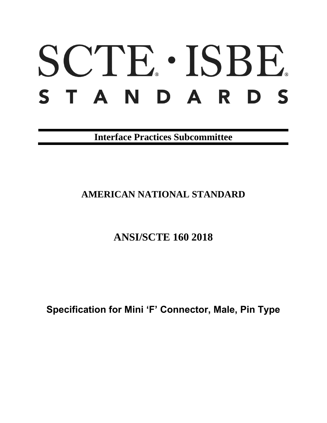# SCTE · ISBE. STANDARDS

**Interface Practices Subcommittee**

## **AMERICAN NATIONAL STANDARD**

## **ANSI/SCTE 160 2018**

**Specification for Mini 'F' Connector, Male, Pin Type**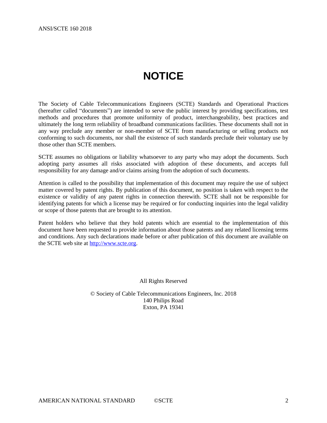## **NOTICE**

<span id="page-1-0"></span>The Society of Cable Telecommunications Engineers (SCTE) Standards and Operational Practices (hereafter called "documents") are intended to serve the public interest by providing specifications, test methods and procedures that promote uniformity of product, interchangeability, best practices and ultimately the long term reliability of broadband communications facilities. These documents shall not in any way preclude any member or non-member of SCTE from manufacturing or selling products not conforming to such documents, nor shall the existence of such standards preclude their voluntary use by those other than SCTE members.

SCTE assumes no obligations or liability whatsoever to any party who may adopt the documents. Such adopting party assumes all risks associated with adoption of these documents, and accepts full responsibility for any damage and/or claims arising from the adoption of such documents.

Attention is called to the possibility that implementation of this document may require the use of subject matter covered by patent rights. By publication of this document, no position is taken with respect to the existence or validity of any patent rights in connection therewith. SCTE shall not be responsible for identifying patents for which a license may be required or for conducting inquiries into the legal validity or scope of those patents that are brought to its attention.

Patent holders who believe that they hold patents which are essential to the implementation of this document have been requested to provide information about those patents and any related licensing terms and conditions. Any such declarations made before or after publication of this document are available on the SCTE web site at [http://www.scte.org.](http://www.scte.org/)

All Rights Reserved

© Society of Cable Telecommunications Engineers, Inc. 2018 140 Philips Road Exton, PA 19341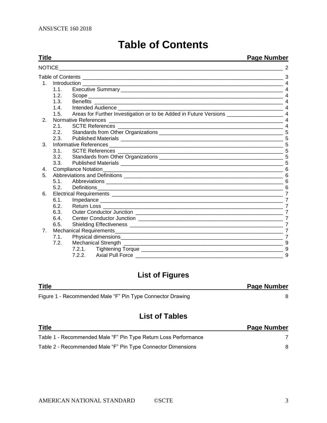<span id="page-2-0"></span>

| Title          |      |                                                                                                                                                                                                                                     | <b>Page Number</b>    |
|----------------|------|-------------------------------------------------------------------------------------------------------------------------------------------------------------------------------------------------------------------------------------|-----------------------|
| <b>NOTICE</b>  |      |                                                                                                                                                                                                                                     |                       |
|                |      | Table of Contents <b>contents</b> and the content of the content of the content of the content of the content of the content of the content of the content of the content of the content of the content of the content of the conte | 3                     |
|                |      |                                                                                                                                                                                                                                     |                       |
|                | 1.1. |                                                                                                                                                                                                                                     |                       |
|                | 1.2. | Scope                                                                                                                                                                                                                               |                       |
|                | 1.3. | <b>Benefits</b>                                                                                                                                                                                                                     |                       |
|                | 1.4  |                                                                                                                                                                                                                                     |                       |
|                | 1.5. |                                                                                                                                                                                                                                     |                       |
| 2.             |      | <b>Normative References</b>                                                                                                                                                                                                         | $\boldsymbol{\Delta}$ |
|                | 2.1. |                                                                                                                                                                                                                                     | $\boldsymbol{\Delta}$ |
|                | 2.2. |                                                                                                                                                                                                                                     |                       |
|                | 2.3. |                                                                                                                                                                                                                                     |                       |
| 3.             |      |                                                                                                                                                                                                                                     |                       |
|                | 31   |                                                                                                                                                                                                                                     |                       |
|                | 3.2. |                                                                                                                                                                                                                                     |                       |
|                | 3.3. |                                                                                                                                                                                                                                     |                       |
| 4.             |      |                                                                                                                                                                                                                                     | 6                     |
| 5 <sub>1</sub> |      |                                                                                                                                                                                                                                     |                       |
|                | 5.1. |                                                                                                                                                                                                                                     |                       |
|                | 5.2. | Definitions<br><u> 1999 - Jan James James James James James James James James James James James James James James James James J</u>                                                                                                 | 6                     |
| 6.             |      |                                                                                                                                                                                                                                     | $\overline{7}$        |
|                | 6.1. |                                                                                                                                                                                                                                     | $\overline{7}$        |
|                | 6.2. |                                                                                                                                                                                                                                     | $\overline{7}$        |
|                | 6.3. |                                                                                                                                                                                                                                     | $\overline{7}$        |
|                | 6.4. |                                                                                                                                                                                                                                     | 7                     |
|                | 6.5. |                                                                                                                                                                                                                                     | $\overline{7}$        |
| 7 <sub>1</sub> |      |                                                                                                                                                                                                                                     | $\overline{7}$        |
|                | 7.1. |                                                                                                                                                                                                                                     | $\overline{7}$        |
|                | 7.2. | <b>Mechanical Strength</b><br><u> 2000 - Jan Berlin Berlin Berlin Berlin Berlin Berlin Berlin Berlin Berlin Berlin Berlin Berlin Berlin Berlin B</u>                                                                                | 9                     |
|                |      |                                                                                                                                                                                                                                     |                       |
|                |      |                                                                                                                                                                                                                                     | 9                     |

## **Table of Contents**

## **List of Figures**

| <b>Title</b>                                               | <b>Page Number</b> |
|------------------------------------------------------------|--------------------|
| Figure 1 - Recommended Male "F" Pin Type Connector Drawing |                    |

## **List of Tables**

| <b>Title</b>                                                    | <b>Page Number</b> |
|-----------------------------------------------------------------|--------------------|
| Table 1 - Recommended Male "F" Pin Type Return Loss Performance |                    |
| Table 2 - Recommended Male "F" Pin Type Connector Dimensions    |                    |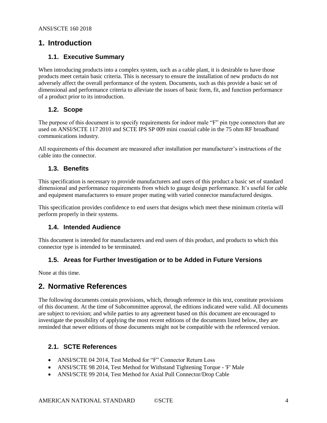#### <span id="page-3-0"></span>**1. Introduction**

#### <span id="page-3-1"></span>**1.1. Executive Summary**

When introducing products into a complex system, such as a cable plant, it is desirable to have those products meet certain basic criteria. This is necessary to ensure the installation of new products do not adversely affect the overall performance of the system. Documents, such as this provide a basic set of dimensional and performance criteria to alleviate the issues of basic form, fit, and function performance of a product prior to its introduction.

#### <span id="page-3-2"></span>**1.2. Scope**

The purpose of this document is to specify requirements for indoor male "F" pin type connectors that are used on ANSI/SCTE 117 2010 and SCTE IPS SP 009 mini coaxial cable in the 75 ohm RF broadband communications industry.

All requirements of this document are measured after installation per manufacturer's instructions of the cable into the connector.

#### <span id="page-3-3"></span>**1.3. Benefits**

This specification is necessary to provide manufacturers and users of this product a basic set of standard dimensional and performance requirements from which to gauge design performance. It's useful for cable and equipment manufacturers to ensure proper mating with varied connector manufactured designs.

This specification provides confidence to end users that designs which meet these minimum criteria will perform properly in their systems.

#### <span id="page-3-4"></span>**1.4. Intended Audience**

This document is intended for manufacturers and end users of this product, and products to which this connector type is intended to be terminated.

#### <span id="page-3-5"></span>**1.5. Areas for Further Investigation or to be Added in Future Versions**

<span id="page-3-6"></span>None at this time.

#### **2. Normative References**

The following documents contain provisions, which, through reference in this text, constitute provisions of this document. At the time of Subcommittee approval, the editions indicated were valid. All documents are subject to revision; and while parties to any agreement based on this document are encouraged to investigate the possibility of applying the most recent editions of the documents listed below, they are reminded that newer editions of those documents might not be compatible with the referenced version.

#### <span id="page-3-7"></span>**2.1. SCTE References**

- ANSI/SCTE 04 2014, Test Method for "F" Connector Return Loss
- ANSI/SCTE 98 2014, Test Method for Withstand Tightening Torque 'F' Male
- ANSI/SCTE 99 2014, Test Method for Axial Pull Connector/Drop Cable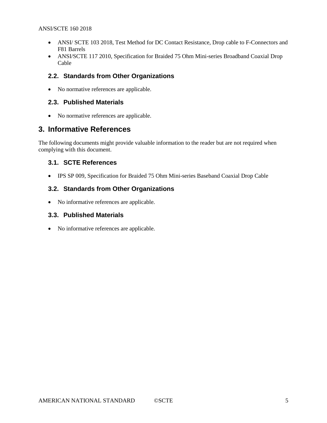- ANSI/ SCTE 103 2018, Test Method for DC Contact Resistance, Drop cable to F-Connectors and F81 Barrels
- ANSI/SCTE 117 2010, Specification for Braided 75 Ohm Mini-series Broadband Coaxial Drop Cable

#### <span id="page-4-0"></span>**2.2. Standards from Other Organizations**

• No normative references are applicable.

#### <span id="page-4-1"></span>**2.3. Published Materials**

• No normative references are applicable.

#### <span id="page-4-2"></span>**3. Informative References**

The following documents might provide valuable information to the reader but are not required when complying with this document.

#### <span id="page-4-3"></span>**3.1. SCTE References**

• IPS SP 009, Specification for Braided 75 Ohm Mini-series Baseband Coaxial Drop Cable

#### <span id="page-4-4"></span>**3.2. Standards from Other Organizations**

• No informative references are applicable.

#### <span id="page-4-5"></span>**3.3. Published Materials**

• No informative references are applicable.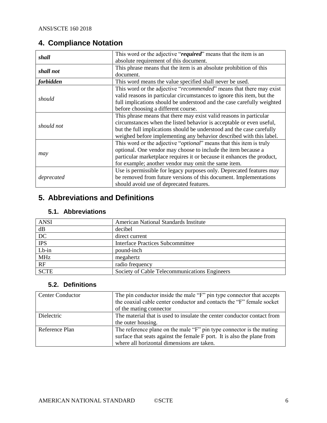## <span id="page-5-0"></span>**4. Compliance Notation**

| shall            | This word or the adjective "required" means that the item is an              |
|------------------|------------------------------------------------------------------------------|
|                  | absolute requirement of this document.                                       |
| shall not        | This phrase means that the item is an absolute prohibition of this           |
|                  | document.                                                                    |
| <i>forbidden</i> | This word means the value specified shall never be used.                     |
|                  | This word or the adjective "recommended" means that there may exist          |
|                  | valid reasons in particular circumstances to ignore this item, but the       |
| should           | full implications should be understood and the case carefully weighted       |
|                  | before choosing a different course.                                          |
|                  | This phrase means that there may exist valid reasons in particular           |
| should not       | circumstances when the listed behavior is acceptable or even useful,         |
|                  | but the full implications should be understood and the case carefully        |
|                  | weighed before implementing any behavior described with this label.          |
|                  | This word or the adjective " <i>optional</i> " means that this item is truly |
|                  | optional. One vendor may choose to include the item because a                |
| may              | particular marketplace requires it or because it enhances the product,       |
|                  | for example; another vendor may omit the same item.                          |
|                  | Use is permissible for legacy purposes only. Deprecated features may         |
| deprecated       | be removed from future versions of this document. Implementations            |
|                  | should avoid use of deprecated features.                                     |

### <span id="page-5-1"></span>**5. Abbreviations and Definitions**

#### <span id="page-5-2"></span>**5.1. Abbreviations**

| <b>ANSI</b>     | American National Standards Institute         |  |
|-----------------|-----------------------------------------------|--|
| dB              | decibel                                       |  |
| $\overline{DC}$ | direct current                                |  |
| <b>IPS</b>      | Interface Practices Subcommittee              |  |
| $Lb-in$         | pound-inch                                    |  |
| <b>MHz</b>      | megahertz                                     |  |
| RF              | radio frequency                               |  |
| <b>SCTE</b>     | Society of Cable Telecommunications Engineers |  |

#### <span id="page-5-3"></span>**5.2. Definitions**

| <b>Center Conductor</b> | The pin conductor inside the male "F" pin type connector that accepts<br>the coaxial cable center conductor and contacts the "F" female socket<br>of the mating connector                     |
|-------------------------|-----------------------------------------------------------------------------------------------------------------------------------------------------------------------------------------------|
| Dielectric              | The material that is used to insulate the center conductor contact from                                                                                                                       |
|                         | the outer housing.                                                                                                                                                                            |
| Reference Plan          | The reference plane on the male "F" pin type connector is the mating<br>surface that seats against the female F port. It is also the plane from<br>where all horizontal dimensions are taken. |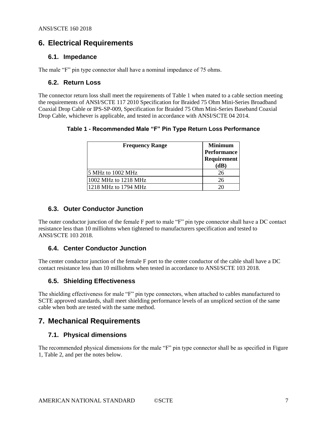#### <span id="page-6-0"></span>**6. Electrical Requirements**

#### <span id="page-6-1"></span>**6.1. Impedance**

<span id="page-6-2"></span>The male "F" pin type connector shall have a nominal impedance of 75 ohms.

#### **6.2. Return Loss**

<span id="page-6-8"></span>The connector return loss shall meet the requirements of Table 1 when mated to a cable section meeting the requirements of ANSI/SCTE 117 2010 Specification for Braided 75 Ohm Mini-Series Broadband Coaxial Drop Cable or IPS-SP-009, Specification for Braided 75 Ohm Mini-Series Baseband Coaxial Drop Cable, whichever is applicable, and tested in accordance with ANSI/SCTE 04 2014.

**Table 1 - Recommended Male "F" Pin Type Return Loss Performance**

| <b>Frequency Range</b> | <b>Minimum</b><br>Performance<br>Requirement |
|------------------------|----------------------------------------------|
| 5 MHz to 1002 MHz      | (dB)<br>26                                   |
| 1002 MHz to 1218 MHz   | 26                                           |
| 1218 MHz to 1794 MHz   |                                              |

#### <span id="page-6-3"></span>**6.3. Outer Conductor Junction**

The outer conductor junction of the female F port to male "F" pin type connector shall have a DC contact resistance less than 10 milliohms when tightened to manufacturers specification and tested to ANSI/SCTE 103 2018.

#### <span id="page-6-4"></span>**6.4. Center Conductor Junction**

<span id="page-6-5"></span>The center conductor junction of the female F port to the center conductor of the cable shall have a DC contact resistance less than 10 milliohms when tested in accordance to ANSI/SCTE 103 2018.

#### **6.5. Shielding Effectiveness**

The shielding effectiveness for male "F" pin type connectors, when attached to cables manufactured to SCTE approved standards, shall meet shielding performance levels of an unspliced section of the same cable when both are tested with the same method.

#### <span id="page-6-7"></span><span id="page-6-6"></span>**7. Mechanical Requirements**

#### **7.1. Physical dimensions**

The recommended physical dimensions for the male "F" pin type connector shall be as specified in [Figure](#page-7-0)  [1,](#page-7-0) [Table 2,](#page-7-1) and per the notes below.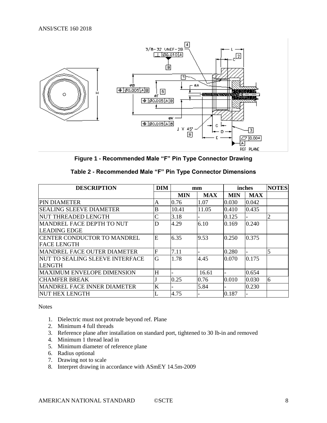

**Figure 1 - Recommended Male "F" Pin Type Connector Drawing**

<span id="page-7-1"></span><span id="page-7-0"></span>

| <b>DESCRIPTION</b>                  | <b>DIM</b>  | mm         |            | inches     |            | <b>NOTES</b>   |
|-------------------------------------|-------------|------------|------------|------------|------------|----------------|
|                                     |             | <b>MIN</b> | <b>MAX</b> | <b>MIN</b> | <b>MAX</b> |                |
| <b>PIN DIAMETER</b>                 | A           | 0.76       | 1.07       | 0.030      | 0.042      |                |
| ISEALING SLEEVE DIAMETER            | B           | 10.41      | 11.05      | 0.410      | 0.435      |                |
| <b>INUT THREADED LENGTH</b>         |             | 3.18       |            | 0.125      |            | $\overline{2}$ |
| MANDREL FACE DEPTH TO NUT           | D           | 4.29       | 6.10       | 0.169      | 0.240      |                |
| <b>LEADING EDGE</b>                 |             |            |            |            |            |                |
| <b>ICENTER CONDUCTOR TO MANDREL</b> | E           | 6.35       | 9.53       | 0.250      | 0.375      |                |
| <b>FACE LENGTH</b>                  |             |            |            |            |            |                |
| MANDREL FACE OUTER DIAMETER         | $\mathbf F$ | 7.11       |            | 0.280      |            | $\overline{5}$ |
| INUT TO SEALING SLEEVE INTERFACE    | G           | 1.78       | 4.45       | 0.070      | 0.175      |                |
| <b>LENGTH</b>                       |             |            |            |            |            |                |
| MAXIMUM ENVELOPE DIMENSION          | H           |            | 16.61      |            | 0.654      |                |
| <b>CHAMFER BREAK</b>                |             | 0.25       | 0.76       | 0.010      | 0.030      | 6              |
| <b>MANDREL FACE INNER DIAMETER</b>  | K           |            | 5.84       |            | 0.230      |                |
| <b>NUT HEX LENGTH</b>               |             | 4.75       |            | 0.187      |            |                |

|  |  | Table 2 - Recommended Male "F" Pin Type Connector Dimensions |  |  |  |  |
|--|--|--------------------------------------------------------------|--|--|--|--|
|--|--|--------------------------------------------------------------|--|--|--|--|

Notes

- 1. Dielectric must not protrude beyond ref. Plane
- 2. Minimum 4 full threads
- 3. Reference plane after installation on standard port, tightened to 30 lb-in and removed
- 4. Minimum 1 thread lead in
- 5. Minimum diameter of reference plane
- 6. Radius optional
- 7. Drawing not to scale
- 8. Interpret drawing in accordance with ASmEY 14.5m-2009